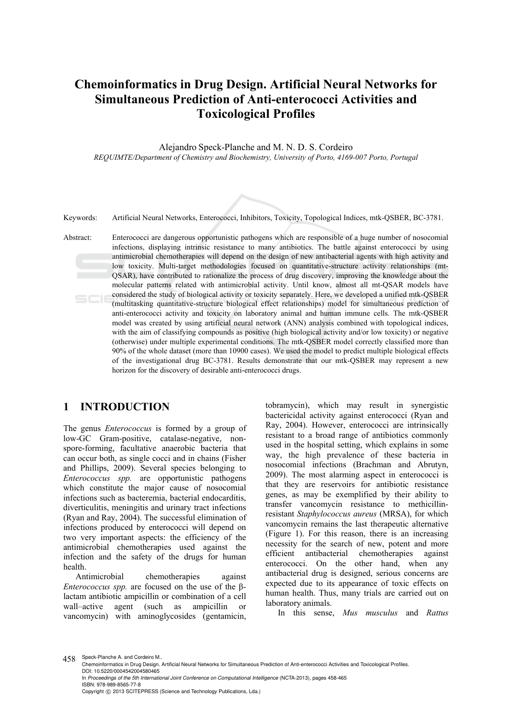# **Chemoinformatics in Drug Design. Artificial Neural Networks for Simultaneous Prediction of Anti-enterococci Activities and Toxicological Profiles**

Alejandro Speck-Planche and M. N. D. S. Cordeiro *REQUIMTE/Department of Chemistry and Biochemistry, University of Porto, 4169-007 Porto, Portugal* 



Keywords: Artificial Neural Networks, Enterococci, Inhibitors, Toxicity, Topological Indices, mtk-QSBER, BC-3781.

Abstract: Enterococci are dangerous opportunistic pathogens which are responsible of a huge number of nosocomial infections, displaying intrinsic resistance to many antibiotics. The battle against enterococci by using antimicrobial chemotherapies will depend on the design of new antibacterial agents with high activity and low toxicity. Multi-target methodologies focused on quantitative-structure activity relationships (mt-QSAR), have contributed to rationalize the process of drug discovery, improving the knowledge about the molecular patterns related with antimicrobial activity. Until know, almost all mt-QSAR models have considered the study of biological activity or toxicity separately. Here, we developed a unified mtk-QSBER (multitasking quantitative-structure biological effect relationships) model for simultaneous prediction of anti-enterococci activity and toxicity on laboratory animal and human immune cells. The mtk-QSBER model was created by using artificial neural network (ANN) analysis combined with topological indices, with the aim of classifying compounds as positive (high biological activity and/or low toxicity) or negative (otherwise) under multiple experimental conditions. The mtk-QSBER model correctly classified more than 90% of the whole dataset (more than 10900 cases). We used the model to predict multiple biological effects of the investigational drug BC-3781. Results demonstrate that our mtk-QSBER may represent a new horizon for the discovery of desirable anti-enterococci drugs.

### **1 INTRODUCTION**

The genus *Enterococcus* is formed by a group of low-GC Gram-positive, catalase-negative, nonspore-forming, facultative anaerobic bacteria that can occur both, as single cocci and in chains (Fisher and Phillips, 2009). Several species belonging to *Enterococcus spp.* are opportunistic pathogens which constitute the major cause of nosocomial infections such as bacteremia, bacterial endocarditis, diverticulitis, meningitis and urinary tract infections (Ryan and Ray, 2004). The successful elimination of infections produced by enterococci will depend on two very important aspects: the efficiency of the antimicrobial chemotherapies used against the infection and the safety of the drugs for human health.

Antimicrobial chemotherapies against *Enterococcus spp.* are focused on the use of the βlactam antibiotic ampicillin or combination of a cell wall–active agent (such as ampicillin or vancomycin) with aminoglycosides (gentamicin,

tobramycin), which may result in synergistic bactericidal activity against enterococci (Ryan and Ray, 2004). However, enterococci are intrinsically resistant to a broad range of antibiotics commonly used in the hospital setting, which explains in some way, the high prevalence of these bacteria in nosocomial infections (Brachman and Abrutyn, 2009). The most alarming aspect in enterococci is that they are reservoirs for antibiotic resistance genes, as may be exemplified by their ability to transfer vancomycin resistance to methicillinresistant *Staphylococcus aureus* (MRSA), for which vancomycin remains the last therapeutic alternative (Figure 1). For this reason, there is an increasing necessity for the search of new, potent and more efficient antibacterial chemotherapies against enterococci. On the other hand, when any antibacterial drug is designed, serious concerns are expected due to its appearance of toxic effects on human health. Thus, many trials are carried out on laboratory animals.

In this sense, *Mus musculus* and *Rattus* 

458 Speck-Planche A. and Cordeiro M..

Chemoinformatics in Drug Design. Artificial Neural Networks for Simultaneous Prediction of Anti-enterococci Activities and Toxicological Profiles. DOI: 10.5220/0004542004580465 In *Proceedings of the 5th International Joint Conference on Computational Intelligence* (NCTA-2013), pages 458-465 ISBN: 978-989-8565-77-8 Copyright © 2013 SCITEPRESS (Science and Technology Publications, Lda.)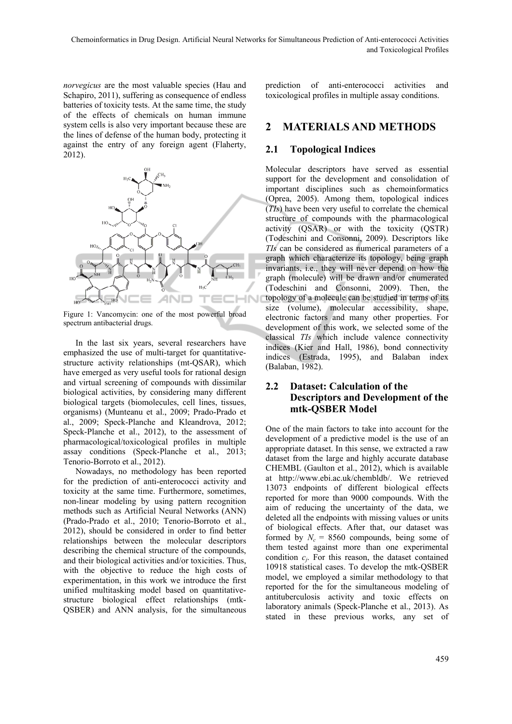*norvegicus* are the most valuable species (Hau and Schapiro, 2011), suffering as consequence of endless batteries of toxicity tests. At the same time, the study of the effects of chemicals on human immune system cells is also very important because these are the lines of defense of the human body, protecting it against the entry of any foreign agent (Flaherty, 2012).



Figure 1: Vancomycin: one of the most powerful broad spectrum antibacterial drugs.

In the last six years, several researchers have emphasized the use of multi-target for quantitativestructure activity relationships (mt-QSAR), which have emerged as very useful tools for rational design and virtual screening of compounds with dissimilar biological activities, by considering many different biological targets (biomolecules, cell lines, tissues, organisms) (Munteanu et al., 2009; Prado-Prado et al., 2009; Speck-Planche and Kleandrova, 2012; Speck-Planche et al., 2012), to the assessment of pharmacological/toxicological profiles in multiple assay conditions (Speck-Planche et al., 2013; Tenorio-Borroto et al., 2012).

Nowadays, no methodology has been reported for the prediction of anti-enterococci activity and toxicity at the same time. Furthermore, sometimes, non-linear modeling by using pattern recognition methods such as Artificial Neural Networks (ANN) (Prado-Prado et al., 2010; Tenorio-Borroto et al., 2012), should be considered in order to find better relationships between the molecular descriptors describing the chemical structure of the compounds, and their biological activities and/or toxicities. Thus, with the objective to reduce the high costs of experimentation, in this work we introduce the first unified multitasking model based on quantitativestructure biological effect relationships (mtk-QSBER) and ANN analysis, for the simultaneous

prediction of anti-enterococci activities and toxicological profiles in multiple assay conditions.

### **2 MATERIALS AND METHODS**

### **2.1 Topological Indices**

Molecular descriptors have served as essential support for the development and consolidation of important disciplines such as chemoinformatics (Oprea, 2005). Among them, topological indices (*TIs*) have been very useful to correlate the chemical structure of compounds with the pharmacological activity (QSAR) or with the toxicity (QSTR) (Todeschini and Consonni, 2009). Descriptors like *TIs* can be considered as numerical parameters of a graph which characterize its topology, being graph invariants, i.e., they will never depend on how the graph (molecule) will be drawn and/or enumerated (Todeschini and Consonni, 2009). Then, the topology of a molecule can be studied in terms of its size (volume), molecular accessibility, shape, electronic factors and many other properties. For development of this work, we selected some of the classical *TIs* which include valence connectivity indices (Kier and Hall, 1986), bond connectivity indices (Estrada, 1995), and Balaban index (Balaban, 1982).

### **2.2 Dataset: Calculation of the Descriptors and Development of the mtk-QSBER Model**

One of the main factors to take into account for the development of a predictive model is the use of an appropriate dataset. In this sense, we extracted a raw dataset from the large and highly accurate database CHEMBL (Gaulton et al., 2012), which is available at http://www.ebi.ac.uk/chembldb/. We retrieved 13073 endpoints of different biological effects reported for more than 9000 compounds. With the aim of reducing the uncertainty of the data, we deleted all the endpoints with missing values or units of biological effects. After that, our dataset was formed by  $N_c = 8560$  compounds, being some of them tested against more than one experimental condition  $c_j$ . For this reason, the dataset contained 10918 statistical cases. To develop the mtk-QSBER model, we employed a similar methodology to that reported for the for the simultaneous modeling of antituberculosis activity and toxic effects on laboratory animals (Speck-Planche et al., 2013). As stated in these previous works, any set of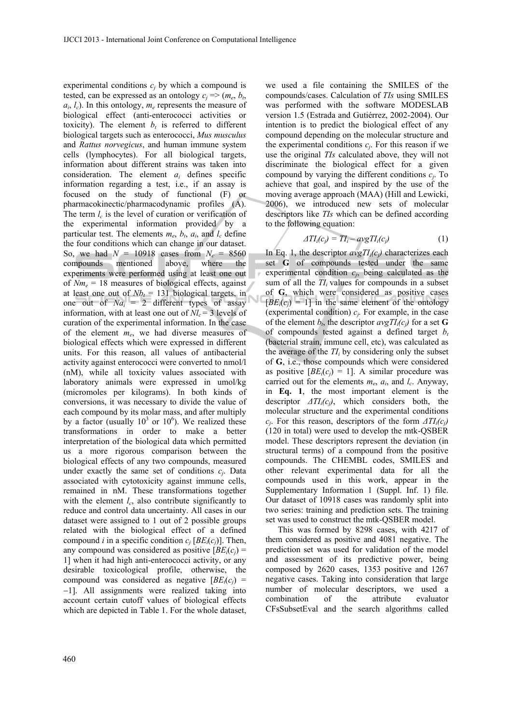experimental conditions  $c_i$  by which a compound is tested, can be expressed as an ontology  $c_i \Rightarrow (m_e, b_t)$  $a_i, l_c$ ). In this ontology,  $m_e$  represents the measure of biological effect (anti-enterococci activities or toxicity). The element  $b_t$  is referred to different biological targets such as enterococci, *Mus musculus* and *Rattus norvegicus*, and human immune system cells (lymphocytes). For all biological targets, information about different strains was taken into consideration. The element *ai* defines specific information regarding a test, i.e., if an assay is focused on the study of functional (F) or pharmacokinectic/pharmacodynamic profiles (A). The term  $l_c$  is the level of curation or verification of the experimental information provided by a particular test. The elements  $m_e$ ,  $b_t$ ,  $a_i$ , and  $l_c$  define the four conditions which can change in our dataset. So, we had  $N = 10918$  cases from  $N_c = 8560$ compounds mentioned above, where the experiments were performed using at least one out of  $Nm_e = 18$  measures of biological effects, against at least one out of  $Nb<sub>t</sub> = 131$  biological targets, in one out of  $Na_i = 2$  different types of assay information, with at least one out of  $Nl_c = 3$  levels of curation of the experimental information. In the case of the element *me*, we had diverse measures of biological effects which were expressed in different units. For this reason, all values of antibacterial activity against enterococci were converted to nmol/l (nM), while all toxicity values associated with laboratory animals were expressed in umol/kg (micromoles per kilograms). In both kinds of conversions, it was necessary to divide the value of each compound by its molar mass, and after multiply by a factor (usually  $10^3$  or  $10^6$ ). We realized these transformations in order to make a better interpretation of the biological data which permitted us a more rigorous comparison between the biological effects of any two compounds, measured under exactly the same set of conditions *cj*. Data associated with cytotoxicity against immune cells, remained in nM. These transformations together with the element  $l_c$ , also contribute significantly to reduce and control data uncertainty. All cases in our dataset were assigned to 1 out of 2 possible groups related with the biological effect of a defined compound *i* in a specific condition  $c_i$  [ $BE_i(c_i)$ ]. Then, any compound was considered as positive  $[BE_i(c_i)]$ 1] when it had high anti-enterococci activity, or any desirable toxicological profile, otherwise, the compound was considered as negative  $[BE_i(c_i)]$ 1]. All assignments were realized taking into account certain cutoff values of biological effects which are depicted in Table 1. For the whole dataset,

we used a file containing the SMILES of the compounds/cases. Calculation of *TIs* using SMILES was performed with the software MODESLAB version 1.5 (Estrada and Gutiérrez, 2002-2004). Our intention is to predict the biological effect of any compound depending on the molecular structure and the experimental conditions  $c_i$ . For this reason if we use the original *TIs* calculated above, they will not discriminate the biological effect for a given compound by varying the different conditions *cj*. To achieve that goal, and inspired by the use of the moving average approach (MAA) (Hill and Lewicki, 2006), we introduced new sets of molecular descriptors like *TIs* which can be defined according to the following equation:

$$
\Delta T I_i(c_j) = T I_i - avg T I_i(c_j) \tag{1}
$$

In Eq. 1, the descriptor  $avgTI_i(c_i)$  characterizes each set **G** of compounds tested under the same experimental condition *cj*, being calculated as the sum of all the  $TI<sub>i</sub>$  values for compounds in a subset of **G**, which were considered as positive cases  $[BE_i(c_i) = 1]$  in the same element of the ontology (experimental condition)  $c_j$ . For example, in the case of the element  $b_t$ , the descriptor  $avgTI_i(c_j)$  for a set **G** of compounds tested against a defined target *bt* (bacterial strain, immune cell, etc), was calculated as the average of the  $TI<sub>i</sub>$  by considering only the subset of **G**, i.e., those compounds which were considered as positive  $[BE_i(c_i) = 1]$ . A similar procedure was carried out for the elements  $m_e$ ,  $a_i$ , and  $l_c$ . Anyway, in **Eq. 1**, the most important element is the descriptor *ΔTIi(cj)*, which considers both, the molecular structure and the experimental conditions *cj*. For this reason, descriptors of the form *ΔTIi(cj)* (120 in total) were used to develop the mtk-QSBER model. These descriptors represent the deviation (in structural terms) of a compound from the positive compounds. The CHEMBL codes, SMILES and other relevant experimental data for all the compounds used in this work, appear in the Supplementary Information 1 (Suppl. Inf. 1) file. Our dataset of 10918 cases was randomly split into two series: training and prediction sets. The training set was used to construct the mtk-QSBER model.

This was formed by 8298 cases, with 4217 of them considered as positive and 4081 negative. The prediction set was used for validation of the model and assessment of its predictive power, being composed by 2620 cases, 1353 positive and 1267 negative cases. Taking into consideration that large number of molecular descriptors, we used a combination of the attribute evaluator CFsSubsetEval and the search algorithms called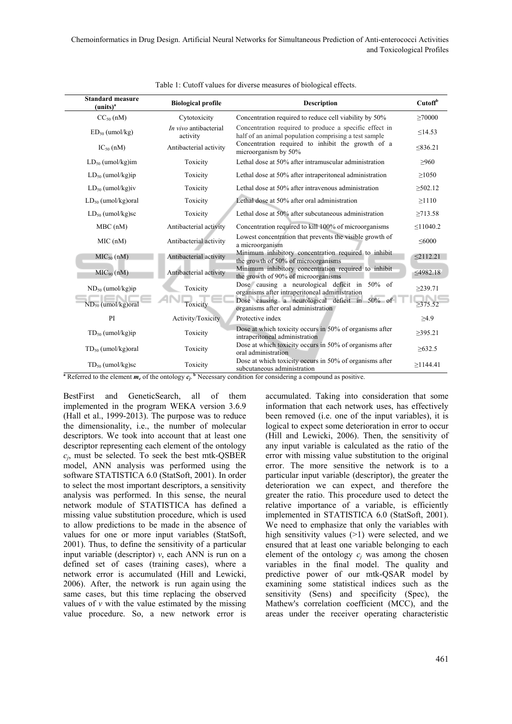| <b>Standard measure</b><br>(units) <sup>a</sup> | <b>Biological profile</b>         | <b>Description</b>                                                                                              | Cutoff <sup>b</sup> |
|-------------------------------------------------|-----------------------------------|-----------------------------------------------------------------------------------------------------------------|---------------------|
| $CC50$ (nM)                                     | Cytotoxicity                      | Concentration required to reduce cell viability by 50%                                                          | $\geq 70000$        |
| $ED_{50}$ (umol/kg)                             | In vivo antibacterial<br>activity | Concentration required to produce a specific effect in<br>half of an animal population comprising a test sample | $\leq$ 14.53        |
| $IC_{50}$ (nM)                                  | Antibacterial activity            | Concentration required to inhibit the growth of a<br>microorganism by 50%                                       | < 836.21            |
| $LD_{50}$ (umol/kg)im                           | Toxicity                          | Lethal dose at 50% after intramuscular administration                                                           | >960                |
| $LD_{50}$ (umol/kg)ip                           | Toxicity                          | Lethal dose at 50% after intraperitoneal administration                                                         | >1050               |
| $LD_{50}$ (umol/kg)iv                           | Toxicity                          | Lethal dose at 50% after intravenous administration                                                             | $\geq 502.12$       |
| $LD_{50}$ (umol/kg) oral                        | Toxicity                          | Lethal dose at 50% after oral administration                                                                    | >1110               |
| $LD_{50}$ (umol/kg)sc                           | Toxicity                          | Lethal dose at 50% after subcutaneous administration                                                            | >713.58             |
| $MBC$ (nM)                                      | Antibacterial activity            | Concentration required to kill 100% of microorganisms                                                           | $\leq$ 1040.2       |
| MIC(nM)                                         | Antibacterial activity            | Lowest concentration that prevents the visible growth of<br>a microorganism                                     | $\leq 6000$         |
| MIC <sub>50</sub> (nM)                          | Antibacterial activity            | Minimum inhibitory concentration required to inhibit<br>the growth of 50% of microorganisms                     | $\leq$ 2112.21      |
| MIC <sub>90</sub> (nM)                          | Antibacterial activity            | Minimum inhibitory concentration required to inhibit<br>the growth of 90% of microorganisms                     | ≤4982.18            |
| $ND_{50}$ (umol/kg)ip                           | Toxicity                          | Dose causing a neurological deficit in 50% of<br>organisms after intraperitoneal administration                 | $\geq$ 239.71       |
| $ND_{50}$ (umol/kg) oral                        | Toxicity                          | Dose causing a neurological deficit in 50% of<br>organisms after oral administration                            | $\geq 375.52$       |
| PI                                              | Activity/Toxicity                 | Protective index                                                                                                | $\geq$ 4.9          |
| $TD_{50}$ (umol/kg)ip                           | Toxicity                          | Dose at which toxicity occurs in 50% of organisms after<br>intraperitoneal administration                       | $\geq$ 395.21       |
| $TD_{50}$ (umol/kg) oral                        | Toxicity                          | Dose at which toxicity occurs in 50% of organisms after<br>oral administration                                  | $\geq 632.5$        |
| $TD_{50}$ (umol/kg)sc                           | Toxicity                          | Dose at which toxicity occurs in 50% of organisms after<br>subcutaneous administration                          | >1144.41            |

|  | Table 1: Cutoff values for diverse measures of biological effects. |  |  |  |  |
|--|--------------------------------------------------------------------|--|--|--|--|
|--|--------------------------------------------------------------------|--|--|--|--|

**a** Referred to the element  $m_e$  of the ontology  $c_i$ . **b** Necessary condition for considering a compound as positive.

BestFirst and GeneticSearch, all of them implemented in the program WEKA version 3.6.9 (Hall et al., 1999-2013). The purpose was to reduce the dimensionality, i.e., the number of molecular descriptors. We took into account that at least one descriptor representing each element of the ontology *cj*, must be selected. To seek the best mtk-QSBER model, ANN analysis was performed using the software STATISTICA 6.0 (StatSoft, 2001). In order to select the most important descriptors, a sensitivity analysis was performed. In this sense, the neural network module of STATISTICA has defined a missing value substitution procedure, which is used to allow predictions to be made in the absence of values for one or more input variables (StatSoft, 2001). Thus, to define the sensitivity of a particular input variable (descriptor) *v*, each ANN is run on a defined set of cases (training cases), where a network error is accumulated (Hill and Lewicki, 2006). After, the network is run again using the same cases, but this time replacing the observed values of  $\nu$  with the value estimated by the missing value procedure. So, a new network error is

accumulated. Taking into consideration that some information that each network uses, has effectively been removed (i.e. one of the input variables), it is logical to expect some deterioration in error to occur (Hill and Lewicki, 2006). Then, the sensitivity of any input variable is calculated as the ratio of the error with missing value substitution to the original error. The more sensitive the network is to a particular input variable (descriptor), the greater the deterioration we can expect, and therefore the greater the ratio. This procedure used to detect the relative importance of a variable, is efficiently implemented in STATISTICA 6.0 (StatSoft, 2001). We need to emphasize that only the variables with high sensitivity values (>1) were selected, and we ensured that at least one variable belonging to each element of the ontology  $c_i$  was among the chosen variables in the final model. The quality and predictive power of our mtk-QSAR model by examining some statistical indices such as the sensitivity (Sens) and specificity (Spec), the Mathew's correlation coefficient (MCC), and the areas under the receiver operating characteristic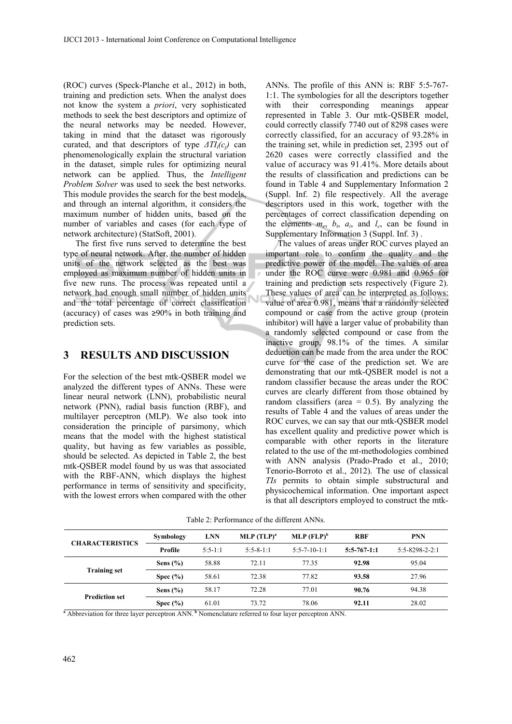(ROC) curves (Speck-Planche et al., 2012) in both, training and prediction sets. When the analyst does not know the system a *priori*, very sophisticated methods to seek the best descriptors and optimize of the neural networks may be needed. However, taking in mind that the dataset was rigorously curated, and that descriptors of type  $\Delta T I_i(c_i)$  can phenomenologically explain the structural variation in the dataset, simple rules for optimizing neural network can be applied. Thus, the *Intelligent Problem Solver* was used to seek the best networks. This module provides the search for the best models, and through an internal algorithm, it considers the maximum number of hidden units, based on the number of variables and cases (for each type of network architecture) (StatSoft, 2001).

The first five runs served to determine the best type of neural network. After, the number of hidden units of the network selected as the best was employed as maximum number of hidden units in five new runs. The process was repeated until a network had enough small number of hidden units and the total percentage of correct classification (accuracy) of cases was ≥90% in both training and prediction sets.

### **3 RESULTS AND DISCUSSION**

For the selection of the best mtk-QSBER model we analyzed the different types of ANNs. These were linear neural network (LNN), probabilistic neural network (PNN), radial basis function (RBF), and multilayer perceptron (MLP). We also took into consideration the principle of parsimony, which means that the model with the highest statistical quality, but having as few variables as possible, should be selected. As depicted in Table 2, the best mtk-QSBER model found by us was that associated with the RBF-ANN, which displays the highest performance in terms of sensitivity and specificity, with the lowest errors when compared with the other

ANNs. The profile of this ANN is: RBF 5:5-767- 1:1. The symbologies for all the descriptors together with their corresponding meanings appear represented in Table 3. Our mtk-QSBER model, could correctly classify 7740 out of 8298 cases were correctly classified, for an accuracy of 93.28% in the training set, while in prediction set, 2395 out of 2620 cases were correctly classified and the value of accuracy was 91.41%. More details about the results of classification and predictions can be found in Table 4 and Supplementary Information 2 (Suppl. Inf. 2) file respectively. All the average descriptors used in this work, together with the percentages of correct classification depending on the elements  $m_e$ ,  $b_t$ ,  $a_i$ , and  $l_c$ , can be found in Supplementary Information 3 (Suppl. Inf. 3) .

The values of areas under ROC curves played an important role to confirm the quality and the predictive power of the model. The values of area under the ROC curve were 0.981 and 0.965 for training and prediction sets respectively (Figure 2). These values of area can be interpreted as follows: value of area 0.981, means that a randomly selected compound or case from the active group (protein inhibitor) will have a larger value of probability than a randomly selected compound or case from the inactive group, 98.1% of the times. A similar deduction can be made from the area under the ROC curve for the case of the prediction set. We are demonstrating that our mtk-QSBER model is not a random classifier because the areas under the ROC curves are clearly different from those obtained by random classifiers (area  $= 0.5$ ). By analyzing the results of Table 4 and the values of areas under the ROC curves, we can say that our mtk-QSBER model has excellent quality and predictive power which is comparable with other reports in the literature related to the use of the mt-methodologies combined with ANN analysis (Prado-Prado et al., 2010; Tenorio-Borroto et al., 2012). The use of classical *TIs* permits to obtain simple substructural and physicochemical information. One important aspect is that all descriptors employed to construct the mtk-

| <b>CHARACTERISTICS</b> | Symbology    | <b>LNN</b> | $MLP$ $(TLP)^a$ | $MLP$ (FLP) <sup>b</sup> | <b>RBF</b>    | <b>PNN</b>             |
|------------------------|--------------|------------|-----------------|--------------------------|---------------|------------------------|
|                        | Profile      | $5:5-1:1$  | $5:5 - 8 - 1:1$ | $5:5-7-10-1:1$           | $5:5-767-1:1$ | $5:5 - 8298 - 2 - 2:1$ |
| <b>Training set</b>    | Sens $(\% )$ | 58.88      | 72.11           | 77.35                    | 92.98         | 95.04                  |
|                        | Spec $(\% )$ | 58.61      | 72.38           | 77.82                    | 93.58         | 27.96                  |
| <b>Prediction set</b>  | Sens $(\% )$ | 58.17      | 72.28           | 77.01                    | 90.76         | 94.38                  |
|                        | Spec $(\% )$ | 61.01      | 73.72           | 78.06                    | 92.11         | 28.02                  |

Table 2: Performance of the different ANNs.

<sup>a</sup> Abbreviation for three layer perceptron ANN.<sup>b</sup> Nomenclature referred to four layer perceptron ANN.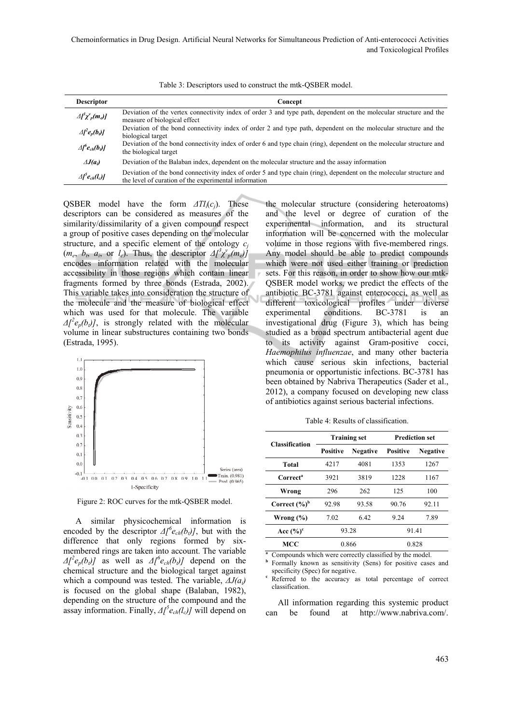Table 3: Descriptors used to construct the mtk-QSBER model.

| <b>Descriptor</b>                     | Concept                                                                                                                                                                      |
|---------------------------------------|------------------------------------------------------------------------------------------------------------------------------------------------------------------------------|
| $\Delta \int^3 \chi^{\nu}{}_{p}(m_e)$ | Deviation of the vertex connectivity index of order 3 and type path, dependent on the molecular structure and the<br>measure of biological effect                            |
| $\Delta I^2 e_p(b_i)$                 | Deviation of the bond connectivity index of order 2 and type path, dependent on the molecular structure and the<br>biological target                                         |
| $\Delta \int^b e_{ch}(b_i)$           | Deviation of the bond connectivity index of order 6 and type chain (ring), dependent on the molecular structure and<br>the biological target                                 |
| $\triangle J(a_i)$                    | Deviation of the Balaban index, dependent on the molecular structure and the assay information                                                                               |
| $\Delta \int^5 e_{ch}(l_c) d$         | Deviation of the bond connectivity index of order 5 and type chain (ring), dependent on the molecular structure and<br>the level of curation of the experimental information |

QSBER model have the form *ΔTIi*(*cj*). These descriptors can be considered as measures of the similarity/dissimilarity of a given compound respect a group of positive cases depending on the molecular structure, and a specific element of the ontology  $c_i$  $(m_e, b_t, a_i, \text{ or } l_c)$ . Thus, the descriptor  $\Delta l^3 \chi^{\nu}_{p}(m_e)$ encodes information related with the molecular accessibility in those regions which contain linear fragments formed by three bonds (Estrada, 2002). This variable takes into consideration the structure of the molecule and the measure of biological effect which was used for that molecule. The variable  $\Delta l^2 e_p(b_i)$ , is strongly related with the molecular volume in linear substructures containing two bonds (Estrada, 1995).



Figure 2: ROC curves for the mtk-QSBER model.

A similar physicochemical information is encoded by the descriptor  $\Delta l^6 e_{ch}(b_l)$ , but with the difference that only regions formed by sixmembered rings are taken into account. The variable  $\Delta l^2 e_p(b_i)$  as well as  $\Delta l^6 e_{ch}(b_i)$  depend on the chemical structure and the biological target against which a compound was tested. The variable, *ΔJ(ai)* is focused on the global shape (Balaban, 1982), depending on the structure of the compound and the assay information. Finally, *Δ[ 5 ech(lc)]* will depend on

the molecular structure (considering heteroatoms) and the level or degree of curation of the experimental information, and its structural information will be concerned with the molecular volume in those regions with five-membered rings. Any model should be able to predict compounds which were not used either training or prediction sets. For this reason, in order to show how our mtk-QSBER model works, we predict the effects of the antibiotic BC-3781 against enterococci, as well as different toxicological profiles under diverse experimental conditions. BC-3781 is an investigational drug (Figure 3), which has being studied as a broad spectrum antibacterial agent due to its activity against Gram-positive cocci, *Haemophilus influenzae*, and many other bacteria which cause serious skin infections, bacterial pneumonia or opportunistic infections. BC-3781 has been obtained by Nabriva Therapeutics (Sader et al., 2012), a company focused on developing new class of antibiotics against serious bacterial infections.

| <b>Training set</b> |                 | <b>Prediction set</b> |                 |  |
|---------------------|-----------------|-----------------------|-----------------|--|
| <b>Positive</b>     | <b>Negative</b> | <b>Positive</b>       | <b>Negative</b> |  |
| 4217                | 4081            | 1353                  | 1267            |  |
| 3921                | 3819            | 1228                  | 1167            |  |
| 296                 | 262             | 125                   | 100             |  |
| 92.98               | 93.58           | 90.76                 | 92.11           |  |
| 7.02                | 6.42            | 9.24                  | 7.89            |  |
| 93.28               |                 | 91.41                 |                 |  |
| 0.866               |                 | 0.828                 |                 |  |
|                     |                 |                       |                 |  |

Table 4: Results of classification.

Formally known as sensitivity (Sens) for positive cases and specificity (Spec) for negative.

Referred to the accuracy as total percentage of correct classification.

All information regarding this systemic product can be found at http://www.nabriva.com/.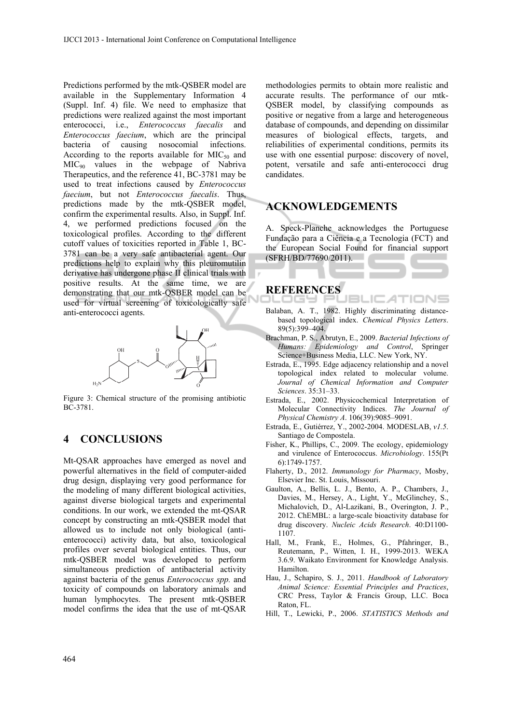Predictions performed by the mtk-QSBER model are available in the Supplementary Information 4 (Suppl. Inf. 4) file. We need to emphasize that predictions were realized against the most important enterococci, i.e., *Enterococcus faecalis* and *Enterococcus faecium*, which are the principal bacteria of causing nosocomial infections. According to the reports available for  $MIC<sub>50</sub>$  and MIC90 values in the webpage of Nabriva Therapeutics, and the reference 41, BC-3781 may be used to treat infections caused by *Enterococcus faecium*, but not *Enterococcus faecalis*. Thus, predictions made by the mtk-QSBER model, confirm the experimental results. Also, in Suppl. Inf. 4, we performed predictions focused on the toxicological profiles. According to the different cutoff values of toxicities reported in Table 1, BC-3781 can be a very safe antibacterial agent. Our predictions help to explain why this pleuromutilin derivative has undergone phase II clinical trials with positive results. At the same time, we are demonstrating that our mtk-QSBER model can be used for virtual screening of toxicologically safe anti-enterococci agents.



Figure 3: Chemical structure of the promising antibiotic BC-3781.

## **4 CONCLUSIONS**

Mt-QSAR approaches have emerged as novel and powerful alternatives in the field of computer-aided drug design, displaying very good performance for the modeling of many different biological activities, against diverse biological targets and experimental conditions. In our work, we extended the mt-QSAR concept by constructing an mtk-QSBER model that allowed us to include not only biological (antienterococci) activity data, but also, toxicological profiles over several biological entities. Thus, our mtk-QSBER model was developed to perform simultaneous prediction of antibacterial activity against bacteria of the genus *Enterococcus spp.* and toxicity of compounds on laboratory animals and human lymphocytes. The present mtk-QSBER model confirms the idea that the use of mt-QSAR

methodologies permits to obtain more realistic and accurate results. The performance of our mtk-QSBER model, by classifying compounds as positive or negative from a large and heterogeneous database of compounds, and depending on dissimilar measures of biological effects, targets, and reliabilities of experimental conditions, permits its use with one essential purpose: discovery of novel, potent, versatile and safe anti-enterococci drug candidates.

### **ACKNOWLEDGEMENTS**

A. Speck-Planche acknowledges the Portuguese Fundação para a Ciência e a Tecnologia (FCT) and the European Social Found for financial support (SFRH/BD/77690/2011).

### **REFERENCES**  ---

Balaban, A. T., 1982. Highly discriminating distancebased topological index. *Chemical Physics Letters*. 89(5):399–404.

JBLIC

- Brachman, P. S., Abrutyn, E., 2009. *Bacterial Infections of Humans: Epidemiology and Control*, Springer Science+Business Media, LLC. New York, NY.
- Estrada, E., 1995. Edge adjacency relationship and a novel topological index related to molecular volume. *Journal of Chemical Information and Computer Sciences*. 35:31–33.
- Estrada, E., 2002. Physicochemical Interpretation of Molecular Connectivity Indices. *The Journal of Physical Chemistry A*. 106(39):9085–9091.
- Estrada, E., Gutiérrez, Y., 2002-2004. MODESLAB, *v1.5*. Santiago de Compostela.
- Fisher, K., Phillips, C., 2009. The ecology, epidemiology and virulence of Enterococcus. *Microbiology*. 155(Pt 6):1749-1757.
- Flaherty, D., 2012. *Immunology for Pharmacy*, Mosby, Elsevier Inc. St. Louis, Missouri.
- Gaulton, A., Bellis, L. J., Bento, A. P., Chambers, J., Davies, M., Hersey, A., Light, Y., McGlinchey, S., Michalovich, D., Al-Lazikani, B., Overington, J. P., 2012. ChEMBL: a large-scale bioactivity database for drug discovery. *Nucleic Acids Research*. 40:D1100- 1107.
- Hall, M., Frank, E., Holmes, G., Pfahringer, B., Reutemann, P., Witten, I. H., 1999-2013. WEKA 3.6.9. Waikato Environment for Knowledge Analysis. Hamilton.
- Hau, J., Schapiro, S. J., 2011. *Handbook of Laboratory Animal Science: Essential Principles and Practices*, CRC Press, Taylor & Francis Group, LLC. Boca Raton, FL.
- Hill, T., Lewicki, P., 2006. *STATISTICS Methods and*